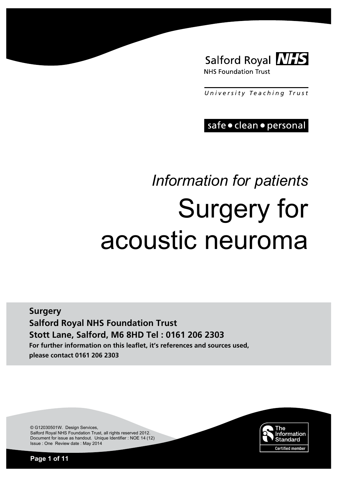

*University T e aching T rust*

safe · clean · personal

# *Information for patients*  Surgery for acoustic neuroma

**Surgery Salford Royal NHS Foundation Trust Stott Lane, Salford, M6 8HD Tel : 0161 206 2303 For further information on this leaflet, it's references and sources used, please contact 0161 206 2303**

> Standard **Certified member**

The

Information

© G12030501W. Design Services, Salford Royal NHS Foundation Trust, all rights reserved 2012. Document for issue as handout. Unique Identifier : NOE 14 (12) Issue : One Review date : May 2014

**Page 1 of 11**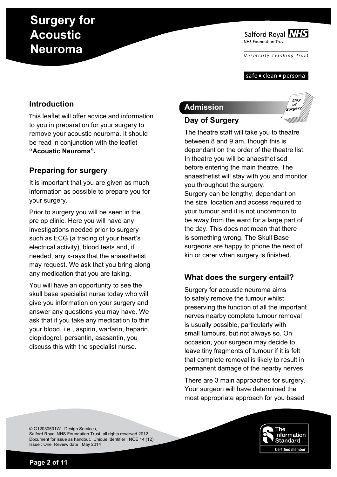Salford Royal NHS NHS Foundation Trust

*University T e aching T rust*

#### safe • clean • personal

# **Introduction**

This leaflet will offer advice and information to you in preparation for your surgery to remove your acoustic neuroma. It should be read in conjunction with the leaflet **"Acoustic Neuroma".**

# **Preparing for surgery**

It is important that you are given as much information as possible to prepare you for your surgery.

Prior to surgery you will be seen in the pre op clinic. Here you will have any investigations needed prior to surgery such as ECG (a tracing of your heart's electrical activity), blood tests and, if needed, any x-rays that the anaesthetist may request. We ask that you bring along any medication that you are taking.

You will have an opportunity to see the skull base specialist nurse today who will give you information on your surgery and answer any questions you may have. We ask that if you take any medication to thin your blood, i.e., aspirin, warfarin, heparin, clopidogrel, persantin, asasantin, you discuss this with the specialist nurse.

# **Admission**

**Day of Surgery**

#### APRIL **of Surgery**

Da<sub>1</sub>

The theatre staff will take you to theatre between 8 and 9 am, though this is dependant on the order of the theatre list. In theatre you will be anaesthetised before entering the main theatre. The anaesthetist will stay with you and monitor you throughout the surgery. Surgery can be lengthy, dependant on the size, location and access required to your tumour and it is not uncommon to be away from the ward for a large part of the day. This does not mean that there is something wrong. The Skull Base surgeons are happy to phone the next of kin or carer when surgery is finished.

# **What does the surgery entail?**

Surgery for acoustic neuroma aims to safely remove the tumour whilst preserving the function of all the important nerves nearby complete tumour removal is usually possible, particularly with small tumours, but not always so. On occasion, your surgeon may decide to leave tiny fragments of tumour if it is felt that complete removal is likely to result in permanent damage of the nearby nerves.

There are 3 main approaches for surgery. Your surgeon will have determined the most appropriate approach for you based

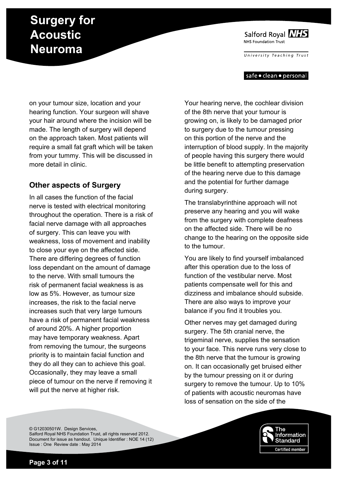Salford Royal NHS NHS Foundation Trust

*University T e aching T rust*

#### safe • clean • personal

on your tumour size, location and your hearing function. Your surgeon will shave your hair around where the incision will be made. The length of surgery will depend on the approach taken. Most patients will require a small fat graft which will be taken from your tummy. This will be discussed in more detail in clinic.

### **Other aspects of Surgery**

In all cases the function of the facial nerve is tested with electrical monitoring throughout the operation. There is a risk of facial nerve damage with all approaches of surgery. This can leave you with weakness, loss of movement and inability to close your eye on the affected side. There are differing degrees of function loss dependant on the amount of damage to the nerve. With small tumours the risk of permanent facial weakness is as low as 5%. However, as tumour size increases, the risk to the facial nerve increases such that very large tumours have a risk of permanent facial weakness of around 20%. A higher proportion may have temporary weakness. Apart from removing the tumour, the surgeons priority is to maintain facial function and they do all they can to achieve this goal. Occasionally, they may leave a small piece of tumour on the nerve if removing it will put the nerve at higher risk.

Your hearing nerve, the cochlear division of the 8th nerve that your tumour is growing on, is likely to be damaged prior to surgery due to the tumour pressing on this portion of the nerve and the interruption of blood supply. In the majority of people having this surgery there would be little benefit to attempting preservation of the hearing nerve due to this damage and the potential for further damage during surgery.

The translabyrinthine approach will not preserve any hearing and you will wake from the surgery with complete deafness on the affected side. There will be no change to the hearing on the opposite side to the tumour.

You are likely to find yourself imbalanced after this operation due to the loss of function of the vestibular nerve. Most patients compensate well for this and dizziness and imbalance should subside. There are also ways to improve your balance if you find it troubles you.

Other nerves may get damaged during surgery. The 5th cranial nerve, the trigeminal nerve, supplies the sensation to your face. This nerve runs very close to the 8th nerve that the tumour is growing on. It can occasionally get bruised either by the tumour pressing on it or during surgery to remove the tumour. Up to 10% of patients with acoustic neuromas have loss of sensation on the side of the

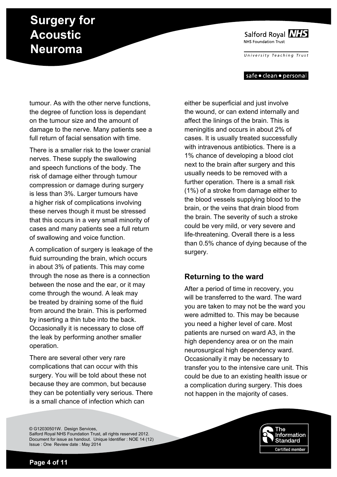Salford Royal NHS NHS Foundation Trust

*University T e aching T rust*

#### safe • clean • personal

tumour. As with the other nerve functions, the degree of function loss is dependant on the tumour size and the amount of damage to the nerve. Many patients see a full return of facial sensation with time.

There is a smaller risk to the lower cranial nerves. These supply the swallowing and speech functions of the body. The risk of damage either through tumour compression or damage during surgery is less than 3%. Larger tumours have a higher risk of complications involving these nerves though it must be stressed that this occurs in a very small minority of cases and many patients see a full return of swallowing and voice function.

A complication of surgery is leakage of the fluid surrounding the brain, which occurs in about 3% of patients. This may come through the nose as there is a connection between the nose and the ear, or it may come through the wound. A leak may be treated by draining some of the fluid from around the brain. This is performed by inserting a thin tube into the back. Occasionally it is necessary to close off the leak by performing another smaller operation.

There are several other very rare complications that can occur with this surgery. You will be told about these not because they are common, but because they can be potentially very serious. There is a small chance of infection which can

either be superficial and just involve the wound, or can extend internally and affect the linings of the brain. This is meningitis and occurs in about 2% of cases. It is usually treated successfully with intravenous antibiotics. There is a 1% chance of developing a blood clot next to the brain after surgery and this usually needs to be removed with a further operation. There is a small risk (1%) of a stroke from damage either to the blood vessels supplying blood to the brain, or the veins that drain blood from the brain. The severity of such a stroke could be very mild, or very severe and life-threatening. Overall there is a less than 0.5% chance of dying because of the surgery.

### **Returning to the ward**

After a period of time in recovery, you will be transferred to the ward. The ward you are taken to may not be the ward you were admitted to. This may be because you need a higher level of care. Most patients are nursed on ward A3, in the high dependency area or on the main neurosurgical high dependency ward. Occasionally it may be necessary to transfer you to the intensive care unit. This could be due to an existing health issue or a complication during surgery. This does not happen in the majority of cases.

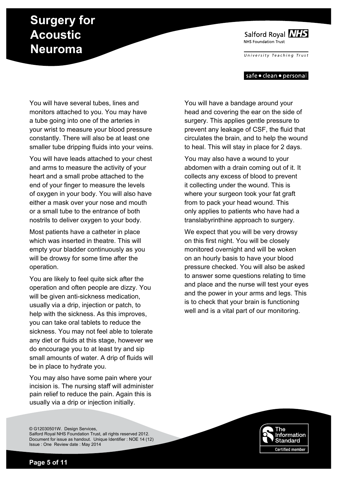Salford Royal NHS NHS Foundation Trust

*University T e aching T rust*

#### safe • clean • personal

You will have several tubes, lines and monitors attached to you. You may have a tube going into one of the arteries in your wrist to measure your blood pressure constantly. There will also be at least one smaller tube dripping fluids into your veins.

You will have leads attached to your chest and arms to measure the activity of your heart and a small probe attached to the end of your finger to measure the levels of oxygen in your body. You will also have either a mask over your nose and mouth or a small tube to the entrance of both nostrils to deliver oxygen to your body.

Most patients have a catheter in place which was inserted in theatre. This will empty your bladder continuously as you will be drowsy for some time after the operation.

You are likely to feel quite sick after the operation and often people are dizzy. You will be given anti-sickness medication, usually via a drip, injection or patch, to help with the sickness. As this improves, you can take oral tablets to reduce the sickness. You may not feel able to tolerate any diet or fluids at this stage, however we do encourage you to at least try and sip small amounts of water. A drip of fluids will be in place to hydrate you.

You may also have some pain where your incision is. The nursing staff will administer pain relief to reduce the pain. Again this is usually via a drip or injection initially.

You will have a bandage around your head and covering the ear on the side of surgery. This applies gentle pressure to prevent any leakage of CSF, the fluid that circulates the brain, and to help the wound to heal. This will stay in place for 2 days.

You may also have a wound to your abdomen with a drain coming out of it. It collects any excess of blood to prevent it collecting under the wound. This is where your surgeon took your fat graft from to pack your head wound. This only applies to patients who have had a translabyrinthine approach to surgery.

We expect that you will be very drowsy on this first night. You will be closely monitored overnight and will be woken on an hourly basis to have your blood pressure checked. You will also be asked to answer some questions relating to time and place and the nurse will test your eyes and the power in your arms and legs. This is to check that your brain is functioning well and is a vital part of our monitoring.



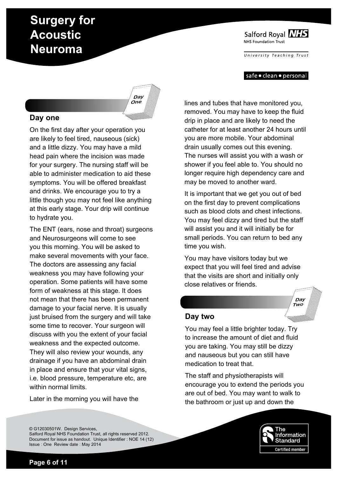Salford Royal NHS NHS Foundation Trust

*University T e aching T rust*

#### safe • clean • personal

#### **Day one**

On the first day after your operation you are likely to feel tired, nauseous (sick) and a little dizzy. You may have a mild head pain where the incision was made for your surgery. The nursing staff will be able to administer medication to aid these symptoms. You will be offered breakfast and drinks. We encourage you to try a little though you may not feel like anything at this early stage. Your drip will continue to hydrate you.

The ENT (ears, nose and throat) surgeons and Neurosurgeons will come to see you this morning. You will be asked to make several movements with your face. The doctors are assessing any facial weakness you may have following your operation. Some patients will have some form of weakness at this stage. It does not mean that there has been permanent damage to your facial nerve. It is usually just bruised from the surgery and will take some time to recover. Your surgeon will discuss with you the extent of your facial weakness and the expected outcome.

They will also review your wounds, any drainage if you have an abdominal drain in place and ensure that your vital signs, i.e. blood pressure, temperature etc, are within normal limits.

Later in the morning you will have the

lines and tubes that have monitored you, removed. You may have to keep the fluid drip in place and are likely to need the catheter for at least another 24 hours until you are more mobile. Your abdominal drain usually comes out this evening. The nurses will assist you with a wash or shower if you feel able to. You should no longer require high dependency care and may be moved to another ward.

It is important that we get you out of bed on the first day to prevent complications such as blood clots and chest infections. You may feel dizzy and tired but the staff will assist you and it will initially be for small periods. You can return to bed any time you wish.

You may have visitors today but we expect that you will feel tired and advise that the visits are short and initially only close relatives or friends.

#### **Day two**

You may feel a little brighter today. Try to increase the amount of diet and fluid you are taking. You may still be dizzy and nauseous but you can still have medication to treat that.

The staff and physiotherapists will encourage you to extend the periods you are out of bed. You may want to walk to the bathroom or just up and down the





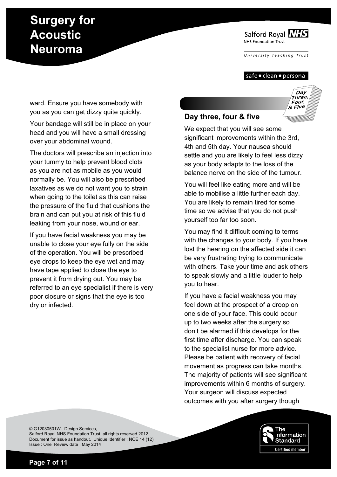Salford Royal NHS NHS Foundation Trust

*University T e aching T rust*

#### safe • clean • personal

APRIL

**Day Three, Four, & Five**

ward. Ensure you have somebody with you as you can get dizzy quite quickly.

Your bandage will still be in place on your head and you will have a small dressing over your abdominal wound.

The doctors will prescribe an injection into your tummy to help prevent blood clots as you are not as mobile as you would normally be. You will also be prescribed laxatives as we do not want you to strain when going to the toilet as this can raise the pressure of the fluid that cushions the brain and can put you at risk of this fluid leaking from your nose, wound or ear.

If you have facial weakness you may be unable to close your eye fully on the side of the operation. You will be prescribed eye drops to keep the eye wet and may have tape applied to close the eye to prevent it from drying out. You may be referred to an eye specialist if there is very poor closure or signs that the eye is too dry or infected.

### **Day three, four & five**

We expect that you will see some significant improvements within the 3rd, 4th and 5th day. Your nausea should settle and you are likely to feel less dizzy as your body adapts to the loss of the balance nerve on the side of the tumour.

You will feel like eating more and will be able to mobilise a little further each day. You are likely to remain tired for some time so we advise that you do not push yourself too far too soon.

You may find it difficult coming to terms with the changes to your body. If you have lost the hearing on the affected side it can be very frustrating trying to communicate with others. Take your time and ask others to speak slowly and a little louder to help you to hear.

If you have a facial weakness you may feel down at the prospect of a droop on one side of your face. This could occur up to two weeks after the surgery so don't be alarmed if this develops for the first time after discharge. You can speak to the specialist nurse for more advice. Please be patient with recovery of facial movement as progress can take months. The majority of patients will see significant improvements within 6 months of surgery. Your surgeon will discuss expected outcomes with you after surgery though

© G12030501W. Design Services, Salford Royal NHS Foundation Trust, all rights reserved 2012. Document for issue as handout. Unique Identifier : NOE 14 (12) Issue : One Review date : May 2014



**Page 7 of 11**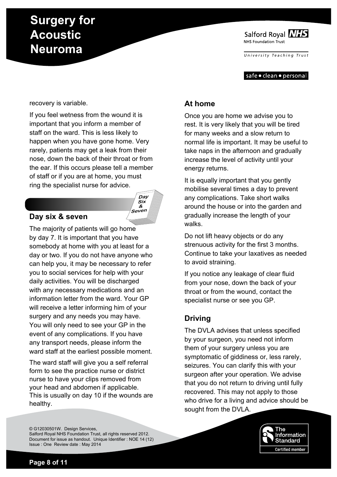Salford Royal NHS NHS Foundation Trust

*University T e aching T rust*

safe • clean • personal

#### recovery is variable.

If you feel wetness from the wound it is important that you inform a member of staff on the ward. This is less likely to happen when you have gone home. Very rarely, patients may get a leak from their nose, down the back of their throat or from the ear. If this occurs please tell a member of staff or if you are at home, you must ring the specialist nurse for advice.



### **Day six & seven**

The majority of patients will go home by day 7. It is important that you have somebody at home with you at least for a day or two. If you do not have anyone who can help you, it may be necessary to refer you to social services for help with your daily activities. You will be discharged with any necessary medications and an information letter from the ward. Your GP will receive a letter informing him of your surgery and any needs you may have. You will only need to see your GP in the event of any complications. If you have any transport needs, please inform the ward staff at the earliest possible moment.

The ward staff will give you a self referral form to see the practice nurse or district nurse to have your clips removed from your head and abdomen if applicable. This is usually on day 10 if the wounds are healthy.

### **At home**

Once you are home we advise you to rest. It is very likely that you will be tired for many weeks and a slow return to normal life is important. It may be useful to take naps in the afternoon and gradually increase the level of activity until your energy returns.

It is equally important that you gently mobilise several times a day to prevent any complications. Take short walks around the house or into the garden and gradually increase the length of your walks.

Do not lift heavy objects or do any strenuous activity for the first 3 months. Continue to take your laxatives as needed to avoid straining.

If you notice any leakage of clear fluid from your nose, down the back of your throat or from the wound, contact the specialist nurse or see you GP.

# **Driving**

The DVLA advises that unless specified by your surgeon, you need not inform them of your surgery unless you are symptomatic of giddiness or, less rarely, seizures. You can clarify this with your surgeon after your operation. We advise that you do not return to driving until fully recovered. This may not apply to those who drive for a living and advice should be sought from the DVLA.

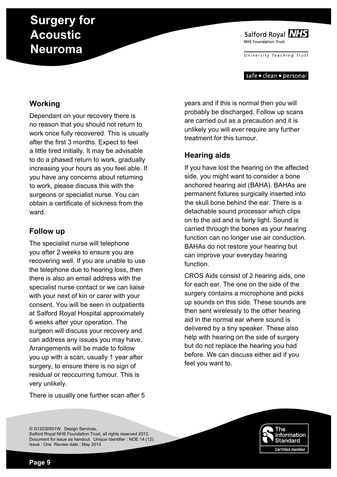Salford Royal NHS NHS Foundation Trust

*University T e aching T rust*

safe • clean • personal

# **Working**

Dependant on your recovery there is no reason that you should not return to work once fully recovered. This is usually after the first 3 months. Expect to feel a little tired initially. It may be advisable to do a phased return to work, gradually increasing your hours as you feel able. If you have any concerns about returning to work, please discuss this with the surgeons or specialist nurse. You can obtain a certificate of sickness from the ward.

### **Follow up**

The specialist nurse will telephone you after 2 weeks to ensure you are recovering well. If you are unable to use the telephone due to hearing loss, then there is also an email address with the specialist nurse contact or we can liaise with your next of kin or carer with your consent. You will be seen in outpatients at Salford Royal Hospital approximately 6 weeks after your operation. The surgeon will discuss your recovery and can address any issues you may have. Arrangements will be made to follow you up with a scan, usually 1 year after surgery, to ensure there is no sign of residual or reoccurring tumour. This is very unlikely.

There is usually one further scan after 5

years and if this is normal then you will probably be discharged. Follow up scans are carried out as a precaution and it is unlikely you will ever require any further treatment for this tumour.

# **Hearing aids**

If you have lost the hearing on the affected side, you might want to consider a bone anchored hearing aid (BAHA). BAHAs are permanent fixtures surgically inserted into the skull bone behind the ear. There is a detachable sound processor which clips on to the aid and is fairly light. Sound is carried through the bones as your hearing function can no longer use air conduction. BAHAs do not restore your hearing but can improve your everyday hearing function.

CROS Aids consist of 2 hearing aids, one for each ear. The one on the side of the surgery contains a microphone and picks up sounds on this side. These sounds are then sent wirelessly to the other hearing aid in the normal ear where sound is delivered by a tiny speaker. These also help with hearing on the side of surgery but do not replace the hearing you had before. We can discuss either aid if you feel you want to.

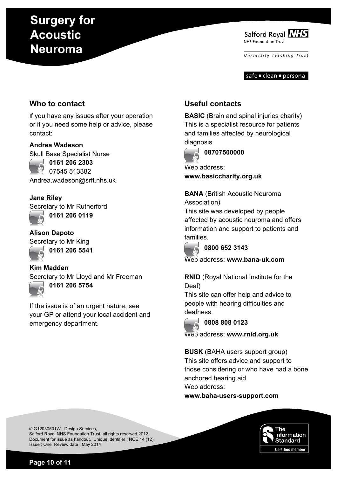Salford Royal NHS NHS Foundation Trust

*University T e aching T rust*

safe • clean • personal

# **Who to contact**

If you have any issues after your operation or if you need some help or advice, please contact:

### **Andrea Wadeson**

Skull Base Specialist Nurse



**0161 206 2303** 07545 513382

Andrea.wadeson@srft.nhs.uk

### **Jane Riley**

Secretary to Mr Rutherford **0161 206 0119**



**Alison Dapoto** Secretary to Mr King **0161 206 5541**



**Kim Madden**

Secretary to Mr Lloyd and Mr Freeman **0161 206 5754**

If the issue is of an urgent nature, see your GP or attend your local accident and emergency department.

# **Useful contacts**

**BASIC** (Brain and spinal injuries charity) This is a specialist resource for patients and families affected by neurological diagnosis.



**08707500000**

Web address: **www.basiccharity.org.uk**

**BANA** (British Acoustic Neuroma Association)

This site was developed by people affected by acoustic neuroma and offers information and support to patients and families.



### **0800 652 3143**

Web address: **www.bana-uk.com**

**RNID** (Royal National Institute for the Deaf)

This site can offer help and advice to people with hearing difficulties and deafness.



### **0808 808 0123**

Web address: **www.rnid.org.uk**

**BUSK** (BAHA users support group) This site offers advice and support to those considering or who have had a bone anchored hearing aid. Web address:

**www.baha-users-support.com**



© G12030501W. Design Services, Salford Royal NHS Foundation Trust, all rights reserved 2012. Document for issue as handout. Unique Identifier : NOE 14 (12) Issue : One Review date : May 2014

**Page 10 of 11**